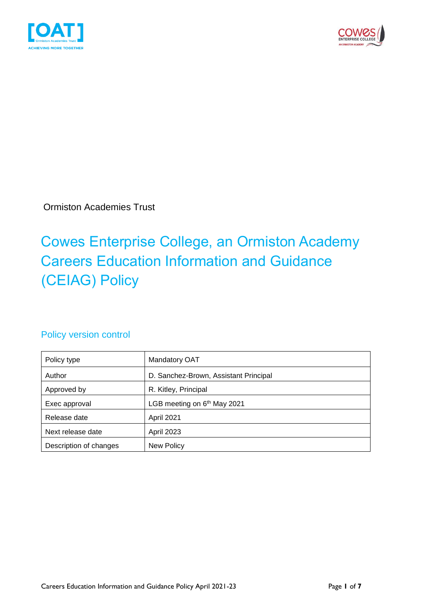



Ormiston Academies Trust

### Cowes Enterprise College, an Ormiston Academy Careers Education Information and Guidance (CEIAG) Policy

#### Policy version control

| Policy type            | Mandatory OAT                           |
|------------------------|-----------------------------------------|
| Author                 | D. Sanchez-Brown, Assistant Principal   |
| Approved by            | R. Kitley, Principal                    |
| Exec approval          | LGB meeting on 6 <sup>th</sup> May 2021 |
| Release date           | April 2021                              |
| Next release date      | <b>April 2023</b>                       |
| Description of changes | New Policy                              |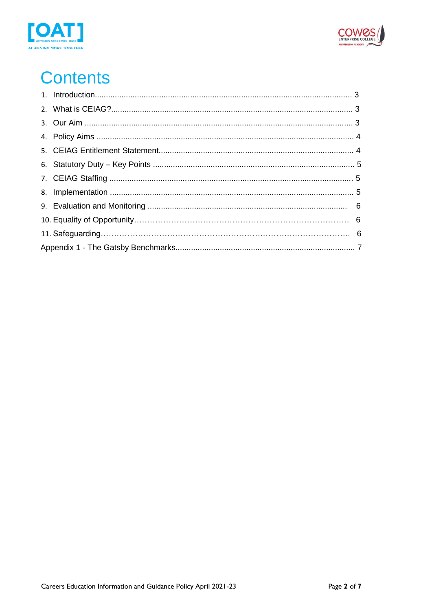



# **Contents**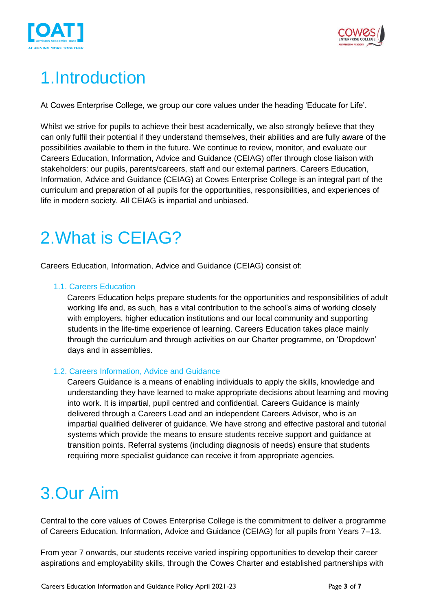



## 1.Introduction

At Cowes Enterprise College, we group our core values under the heading 'Educate for Life'.

Whilst we strive for pupils to achieve their best academically, we also strongly believe that they can only fulfil their potential if they understand themselves, their abilities and are fully aware of the possibilities available to them in the future. We continue to review, monitor, and evaluate our Careers Education, Information, Advice and Guidance (CEIAG) offer through close liaison with stakeholders: our pupils, parents/careers, staff and our external partners. Careers Education, Information, Advice and Guidance (CEIAG) at Cowes Enterprise College is an integral part of the curriculum and preparation of all pupils for the opportunities, responsibilities, and experiences of life in modern society. All CEIAG is impartial and unbiased.

## 2.What is CEIAG?

Careers Education, Information, Advice and Guidance (CEIAG) consist of:

#### 1.1. Careers Education

Careers Education helps prepare students for the opportunities and responsibilities of adult working life and, as such, has a vital contribution to the school's aims of working closely with employers, higher education institutions and our local community and supporting students in the life-time experience of learning. Careers Education takes place mainly through the curriculum and through activities on our Charter programme, on 'Dropdown' days and in assemblies.

#### 1.2. Careers Information, Advice and Guidance

Careers Guidance is a means of enabling individuals to apply the skills, knowledge and understanding they have learned to make appropriate decisions about learning and moving into work. It is impartial, pupil centred and confidential. Careers Guidance is mainly delivered through a Careers Lead and an independent Careers Advisor, who is an impartial qualified deliverer of guidance. We have strong and effective pastoral and tutorial systems which provide the means to ensure students receive support and guidance at transition points. Referral systems (including diagnosis of needs) ensure that students requiring more specialist guidance can receive it from appropriate agencies.

## 3.Our Aim

Central to the core values of Cowes Enterprise College is the commitment to deliver a programme of Careers Education, Information, Advice and Guidance (CEIAG) for all pupils from Years 7–13.

From year 7 onwards, our students receive varied inspiring opportunities to develop their career aspirations and employability skills, through the Cowes Charter and established partnerships with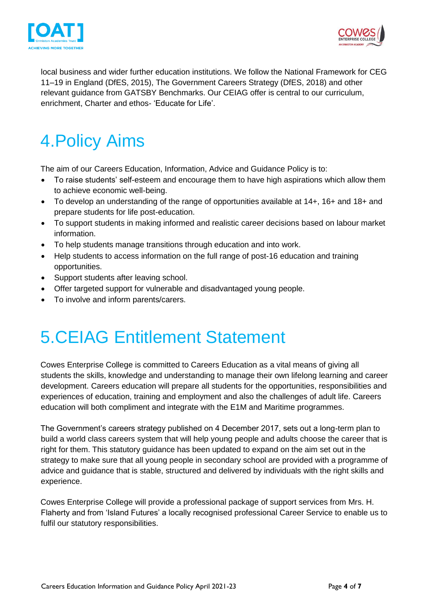



local business and wider further education institutions. We follow the National Framework for CEG 11–19 in England (DfES, 2015), The Government Careers Strategy (DfES, 2018) and other relevant guidance from GATSBY Benchmarks. Our CEIAG offer is central to our curriculum, enrichment, Charter and ethos- 'Educate for Life'.

## 4.Policy Aims

The aim of our Careers Education, Information, Advice and Guidance Policy is to:

- To raise students' self-esteem and encourage them to have high aspirations which allow them to achieve economic well-being.
- To develop an understanding of the range of opportunities available at 14+, 16+ and 18+ and prepare students for life post-education.
- To support students in making informed and realistic career decisions based on labour market information.
- To help students manage transitions through education and into work.
- Help students to access information on the full range of post-16 education and training opportunities.
- Support students after leaving school.
- Offer targeted support for vulnerable and disadvantaged young people.
- To involve and inform parents/carers.

### 5.CEIAG Entitlement Statement

Cowes Enterprise College is committed to Careers Education as a vital means of giving all students the skills, knowledge and understanding to manage their own lifelong learning and career development. Careers education will prepare all students for the opportunities, responsibilities and experiences of education, training and employment and also the challenges of adult life. Careers education will both compliment and integrate with the E1M and Maritime programmes.

The Government's careers strategy published on 4 December 2017, sets out a long-term plan to build a world class careers system that will help young people and adults choose the career that is right for them. This statutory guidance has been updated to expand on the aim set out in the strategy to make sure that all young people in secondary school are provided with a programme of advice and guidance that is stable, structured and delivered by individuals with the right skills and experience.

Cowes Enterprise College will provide a professional package of support services from Mrs. H. Flaherty and from 'Island Futures' a locally recognised professional Career Service to enable us to fulfil our statutory responsibilities.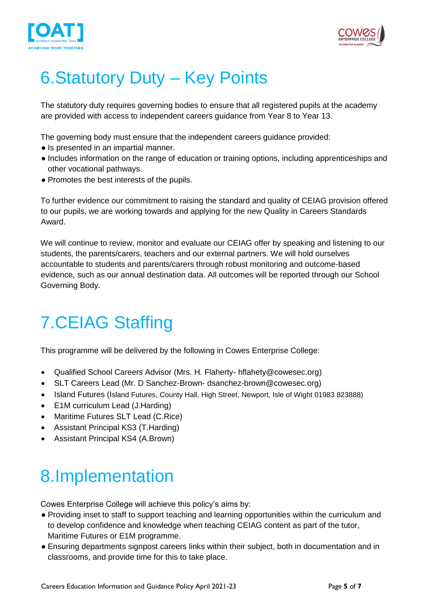



## 6.Statutory Duty – Key Points

The statutory duty requires governing bodies to ensure that all registered pupils at the academy are provided with access to independent careers guidance from Year 8 to Year 13.

The governing body must ensure that the independent careers guidance provided:

- Is presented in an impartial manner.
- Includes information on the range of education or training options, including apprenticeships and other vocational pathways.
- Promotes the best interests of the pupils.

To further evidence our commitment to raising the standard and quality of CEIAG provision offered to our pupils, we are working towards and applying for the new Quality in Careers Standards Award.

We will continue to review, monitor and evaluate our CEIAG offer by speaking and listening to our students, the parents/carers, teachers and our external partners. We will hold ourselves accountable to students and parents/carers through robust monitoring and outcome-based evidence, such as our annual destination data. All outcomes will be reported through our School Governing Body.

## 7.CEIAG Staffing

This programme will be delivered by the following in Cowes Enterprise College:

- Qualified School Careers Advisor (Mrs. H. Flaherty- hflahety@cowesec.org)
- SLT Careers Lead (Mr. D Sanchez-Brown- dsanchez-brown@cowesec.org)
- Island Futures (Island Futures, County Hall, High Street, Newport, Isle of Wight 01983 823888)
- E1M curriculum Lead (J.Harding)
- Maritime Futures SLT Lead (C.Rice)
- Assistant Principal KS3 (T.Harding)
- Assistant Principal KS4 (A.Brown)

## 8.Implementation

Cowes Enterprise College will achieve this policy's aims by:

- Providing inset to staff to support teaching and learning opportunities within the curriculum and to develop confidence and knowledge when teaching CEIAG content as part of the tutor, Maritime Futures or E1M programme.
- Ensuring departments signpost careers links within their subject, both in documentation and in classrooms, and provide time for this to take place.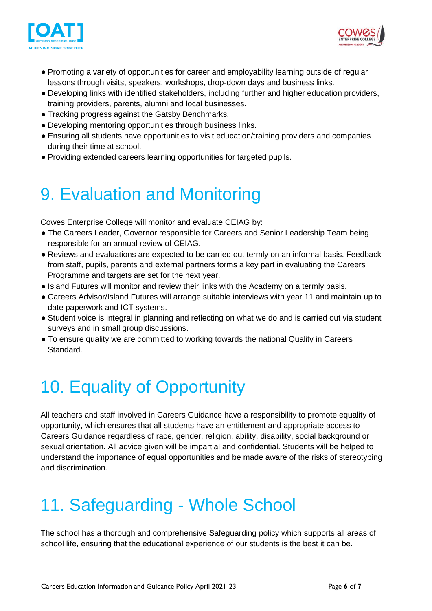



- Promoting a variety of opportunities for career and employability learning outside of regular lessons through visits, speakers, workshops, drop-down days and business links.
- Developing links with identified stakeholders, including further and higher education providers, training providers, parents, alumni and local businesses.
- Tracking progress against the Gatsby Benchmarks.
- Developing mentoring opportunities through business links.
- Ensuring all students have opportunities to visit education/training providers and companies during their time at school.
- Providing extended careers learning opportunities for targeted pupils.

### 9. Evaluation and Monitoring

Cowes Enterprise College will monitor and evaluate CEIAG by:

- The Careers Leader, Governor responsible for Careers and Senior Leadership Team being responsible for an annual review of CEIAG.
- Reviews and evaluations are expected to be carried out termly on an informal basis. Feedback from staff, pupils, parents and external partners forms a key part in evaluating the Careers Programme and targets are set for the next year.
- Island Futures will monitor and review their links with the Academy on a termly basis.
- Careers Advisor/Island Futures will arrange suitable interviews with year 11 and maintain up to date paperwork and ICT systems.
- Student voice is integral in planning and reflecting on what we do and is carried out via student surveys and in small group discussions.
- To ensure quality we are committed to working towards the national Quality in Careers Standard.

# 10. Equality of Opportunity

All teachers and staff involved in Careers Guidance have a responsibility to promote equality of opportunity, which ensures that all students have an entitlement and appropriate access to Careers Guidance regardless of race, gender, religion, ability, disability, social background or sexual orientation. All advice given will be impartial and confidential. Students will be helped to understand the importance of equal opportunities and be made aware of the risks of stereotyping and discrimination.

# 11. Safeguarding - Whole School

The school has a thorough and comprehensive Safeguarding policy which supports all areas of school life, ensuring that the educational experience of our students is the best it can be.